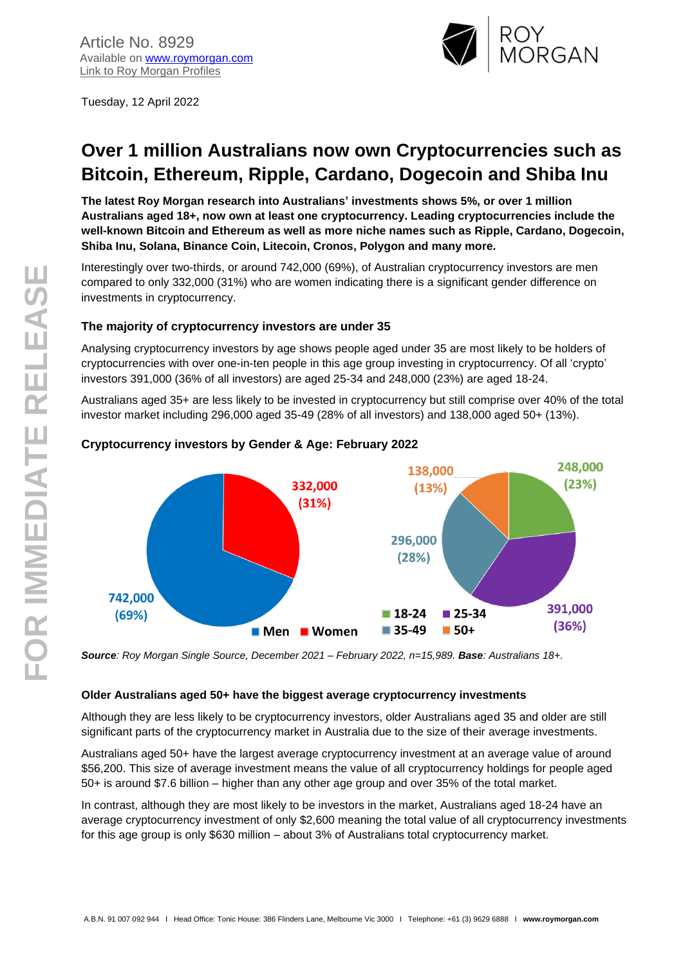

Tuesday, 12 April 2022

# **Over 1 million Australians now own Cryptocurrencies such as Bitcoin, Ethereum, Ripple, Cardano, Dogecoin and Shiba Inu**

**The latest Roy Morgan research into Australians' investments shows 5%, or over 1 million Australians aged 18+, now own at least one cryptocurrency. Leading cryptocurrencies include the well-known Bitcoin and Ethereum as well as more niche names such as Ripple, Cardano, Dogecoin, Shiba Inu, Solana, Binance Coin, Litecoin, Cronos, Polygon and many more.**

Interestingly over two-thirds, or around 742,000 (69%), of Australian cryptocurrency investors are men compared to only 332,000 (31%) who are women indicating there is a significant gender difference on investments in cryptocurrency.

## **The majority of cryptocurrency investors are under 35**

Analysing cryptocurrency investors by age shows people aged under 35 are most likely to be holders of cryptocurrencies with over one-in-ten people in this age group investing in cryptocurrency. Of all 'crypto' investors 391,000 (36% of all investors) are aged 25-34 and 248,000 (23%) are aged 18-24.

Australians aged 35+ are less likely to be invested in cryptocurrency but still comprise over 40% of the total investor market including 296,000 aged 35-49 (28% of all investors) and 138,000 aged 50+ (13%).



## **Cryptocurrency investors by Gender & Age: February 2022**

*Source: Roy Morgan Single Source, December 2021 – February 2022, n=15,989. Base: Australians 18+.*

#### **Older Australians aged 50+ have the biggest average cryptocurrency investments**

Although they are less likely to be cryptocurrency investors, older Australians aged 35 and older are still significant parts of the cryptocurrency market in Australia due to the size of their average investments.

Australians aged 50+ have the largest average cryptocurrency investment at an average value of around \$56,200. This size of average investment means the value of all cryptocurrency holdings for people aged 50+ is around \$7.6 billion – higher than any other age group and over 35% of the total market.

In contrast, although they are most likely to be investors in the market, Australians aged 18-24 have an average cryptocurrency investment of only \$2,600 meaning the total value of all cryptocurrency investments for this age group is only \$630 million – about 3% of Australians total cryptocurrency market.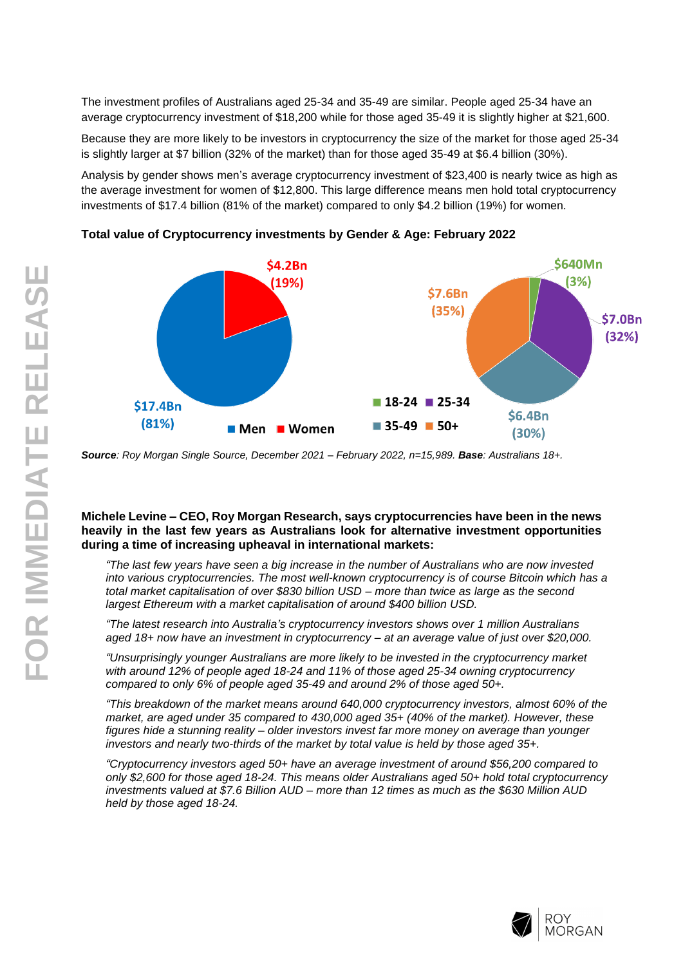The investment profiles of Australians aged 25-34 and 35-49 are similar. People aged 25-34 have an average cryptocurrency investment of \$18,200 while for those aged 35-49 it is slightly higher at \$21,600.

Because they are more likely to be investors in cryptocurrency the size of the market for those aged 25-34 is slightly larger at \$7 billion (32% of the market) than for those aged 35-49 at \$6.4 billion (30%).

Analysis by gender shows men's average cryptocurrency investment of \$23,400 is nearly twice as high as the average investment for women of \$12,800. This large difference means men hold total cryptocurrency investments of \$17.4 billion (81% of the market) compared to only \$4.2 billion (19%) for women.



**Total value of Cryptocurrency investments by Gender & Age: February 2022**

*Source: Roy Morgan Single Source, December 2021 – February 2022, n=15,989. Base: Australians 18+.*

#### **Michele Levine – CEO, Roy Morgan Research, says cryptocurrencies have been in the news heavily in the last few years as Australians look for alternative investment opportunities during a time of increasing upheaval in international markets:**

*"The last few years have seen a big increase in the number of Australians who are now invested into various cryptocurrencies. The most well-known cryptocurrency is of course Bitcoin which has a total market capitalisation of over \$830 billion USD – more than twice as large as the second largest Ethereum with a market capitalisation of around \$400 billion USD.*

*"The latest research into Australia's cryptocurrency investors shows over 1 million Australians aged 18+ now have an investment in cryptocurrency – at an average value of just over \$20,000.*

*"Unsurprisingly younger Australians are more likely to be invested in the cryptocurrency market with around 12% of people aged 18-24 and 11% of those aged 25-34 owning cryptocurrency compared to only 6% of people aged 35-49 and around 2% of those aged 50+.*

*"This breakdown of the market means around 640,000 cryptocurrency investors, almost 60% of the market, are aged under 35 compared to 430,000 aged 35+ (40% of the market). However, these figures hide a stunning reality – older investors invest far more money on average than younger investors and nearly two-thirds of the market by total value is held by those aged 35+.*

*"Cryptocurrency investors aged 50+ have an average investment of around \$56,200 compared to only \$2,600 for those aged 18-24. This means older Australians aged 50+ hold total cryptocurrency investments valued at \$7.6 Billion AUD – more than 12 times as much as the \$630 Million AUD held by those aged 18-24.*